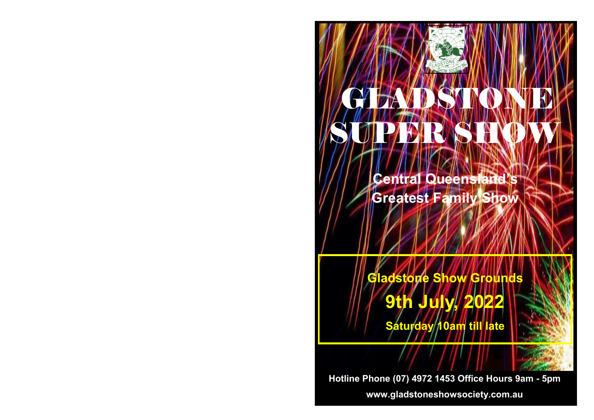# SHOW GLADSTONE **CENTRAL CONTRACTORS** SUPER SHOW GLAZDSTONEL

**Central Queensland's Greatest Family Show**

**Gladstone Show Grounds**

**9th July, 2022**

**Saturday 10am till late**

**Hotline Phone (07) 4972 1453 Office Hours 9am - 5pm**

**www.gladstoneshowsociety.com.au**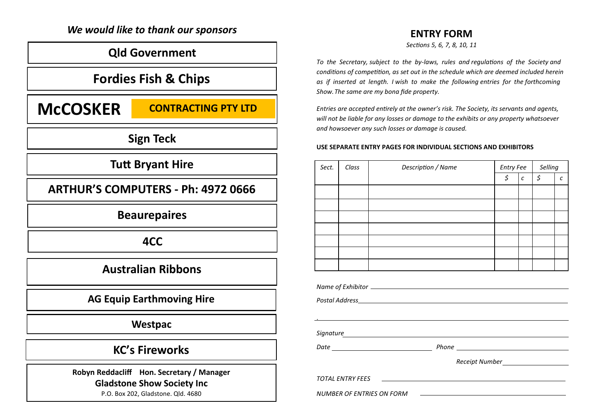## *We would like to thank our sponsors*

## **Qld Government**

## **Fordies Fish & Chips**

## **MCCOSKER CONTRACTING PTY LTD**

**Sign Teck**

## **Tutt Bryant Hire**

**ARTHUR'S COMPUTERS - Ph: 4972 0666**

**Beaurepaires**

**4CC**

## **Australian Ribbons**

## **AG Equip Earthmoving Hire**

**Westpac**

## **KC's Fireworks**

**Robyn Reddacliff Hon. Secretary / Manager Gladstone Show Society Inc**

P.O. Box 202, Gladstone. Qld. 4680

## **ENTRY FORM**

*Sections 5, 6, 7, 8, 10, 11*

*To the Secretary, subject to the by-laws, rules and regulations of the Society and conditions of competition, as set out in the schedule which are deemed included herein as if inserted at length. I wish to make the following entries for the forthcoming Show.The same are my bona fide property.*

*Entries are accepted entirely at the owner's risk. The Society, its servants and agents, will not be liable for any losses or damage to the exhibits or any property whatsoever and howsoever any such losses or damage is caused.*

#### **USE SEPARATE ENTRY PAGES FOR INDIVIDUAL SECTIONS AND EXHIBITORS**

| Sect.                            | Class                   | Description / Name                                                | <b>Entry Fee</b> |                   | Selling |   |  |
|----------------------------------|-------------------------|-------------------------------------------------------------------|------------------|-------------------|---------|---|--|
|                                  |                         |                                                                   | \$               | $\mathcal{C}_{0}$ | \$      | C |  |
|                                  |                         |                                                                   |                  |                   |         |   |  |
|                                  |                         |                                                                   |                  |                   |         |   |  |
|                                  |                         |                                                                   |                  |                   |         |   |  |
|                                  |                         |                                                                   |                  |                   |         |   |  |
|                                  |                         |                                                                   |                  |                   |         |   |  |
|                                  |                         |                                                                   |                  |                   |         |   |  |
|                                  |                         |                                                                   |                  |                   |         |   |  |
|                                  |                         |                                                                   |                  |                   |         |   |  |
|                                  |                         |                                                                   |                  |                   |         |   |  |
|                                  |                         |                                                                   |                  |                   |         |   |  |
|                                  |                         |                                                                   |                  |                   |         |   |  |
|                                  |                         |                                                                   |                  |                   |         |   |  |
|                                  |                         |                                                                   |                  |                   |         |   |  |
|                                  | <b>TOTAL ENTRY FEES</b> | <u> 1980 - Andrea Stadt Britain, amerikansk politik (d. 1980)</u> |                  |                   |         |   |  |
| <b>NUMBER OF ENTRIES ON FORM</b> |                         |                                                                   |                  |                   |         |   |  |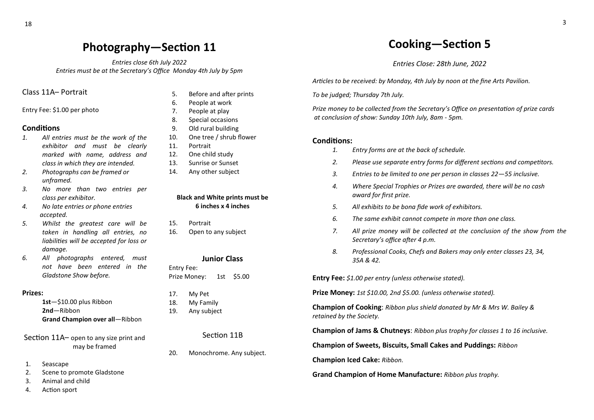## **Photography—Section 11**

*Entries close 6th July 2022 Entries must be at the Secretary's Office Monday 4th July by 5pm*

## Class 11A– Portrait

Entry Fee: \$1.00 per photo

### **Conditions**

- *1. All entries must be the work of the exhibitor and must be clearly marked with name, address and class in which they are intended.*
- *2. Photographs can be framed or unframed.*
- *3. No more than two entries per class per exhibitor.*
- *4. No late entries or phone entries accepted.*
- *5. Whilst the greatest care will be taken in handling all entries, no liabilities will be accepted for loss or damage.*
- *6. All photographs entered, must not have been entered in the Gladstone Show before.*

#### **Prizes:**

**1st**—\$10.00 plus Ribbon **2nd**—Ribbon **Grand Champion over all**—Ribbon

Section 11A– open to any size print and may be framed

- 1. Seascape
- 2. Scene to promote Gladstone
- 3. Animal and child
- 4. Action sport
- 5. Before and after prints
- 6. People at work
- 7. People at play
- 8. Special occasions
- 9. Old rural building
- 10. One tree / shrub flower
- 11. Portrait
- 12. One child study
- 13. Sunrise or Sunset
- 14. Any other subject

#### **Black and White prints must be 6 inches x 4 inches**

- 15. Portrait
- 16. Open to any subject

### **Junior Class**

Entry Fee: Prize Money: 1st \$5.00

- 17. My Pet
- 18. My Family
- 19. Any subject

### Section 11B

20. Monochrome. Any subject.

## **Cooking—Section 5**

*Entries Close: 28th June, 2022*

*Articles to be received: by Monday, 4th July by noon at the fine Arts Pavilion.*

*To be judged; Thursday 7th July.*

*Prize money to be collected from the Secretary's Office on presentation of prize cards at conclusion of show: Sunday 10th July, 8am - 5pm.*

#### Conditions:

- *1. Entry forms are at the back of schedule.*
- *2. Please use separate entry forms for different sections and competitors.*
- *3. Entries to be limited to one per person in classes 22—55 inclusive.*
- *4. Where Special Trophies or Prizes are awarded, there will be no cash award for first prize.*
- *5. All exhibits to be bona fide work of exhibitors.*
- *6. The same exhibit cannot compete in more than one class.*
- *7. All prize money will be collected at the conclusion of the show from the Secretary's office after 4 p.m.*
- *8. Professional Cooks, Chefs and Bakers may only enter classes 23, 34, 35A & 42.*

**Entry Fee:** *\$1.00 per entry (unless otherwise stated).*

**Prize Money:** *1st \$10.00, 2nd \$5.00. (unless otherwise stated).*

**Champion of Cooking**: *Ribbon plus shield donated by Mr & Mrs W. Bailey & retained by the Society.*

**Champion of Jams & Chutneys**: *Ribbon plus trophy for classes 1 to 16 inclusive.*

**Champion of Sweets, Biscuits, Small Cakes and Puddings:** *Ribbon*

**Champion Iced Cake:** *Ribbon.*

**Grand Champion of Home Manufacture:** *Ribbon plus trophy.*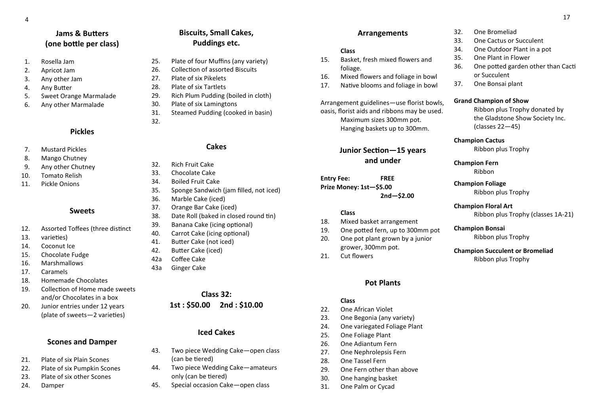## **Jams & Butters (one bottle per class)**

- 1. Rosella Jam
- 2. Apricot Jam
- 3. Any other Jam
- 4. Any Butter
- 5. Sweet Orange Marmalade
- 6. Any other Marmalade

## **Pickles**

- 7. Mustard Pickles
- 8. Mango Chutney
- 9. Any other Chutney
- 10. Tomato Relish
- 11. Pickle Onions

### **Sweets**

- 12. Assorted Toffees (three distinct
- 13. varieties)
- 14. Coconut Ice
- 15. Chocolate Fudge
- 16. Marshmallows
- 17. Caramels
- 18. Homemade Chocolates
- 19. Collection of Home made sweets and/or Chocolates in a box
- 20. Junior entries under 12 years (plate of sweets—2 varieties)

## **Scones and Damper**

- 21. Plate of six Plain Scones
- 22. Plate of six Pumpkin Scones
- 23. Plate of six other Scones
- 24. Damper

## **Biscuits, Small Cakes, Puddings etc.**

- 25. Plate of four Muffins (any variety)
- 26. Collection of assorted Biscuits
- 27. Plate of six Pikelets
- 28. Plate of six Tartlets
- 29. Rich Plum Pudding (boiled in cloth)
- 30. Plate of six Lamingtons
- 31. Steamed Pudding (cooked in basin)
- 

32.

## **Cakes**

- 32. Rich Fruit Cake
- 33. Chocolate Cake
- 34. Boiled Fruit Cake
- 35. Sponge Sandwich (jam filled, not iced)
- 36. Marble Cake (iced)
- 37. Orange Bar Cake (iced)
- 38. Date Roll (baked in closed round tin)
- 39. Banana Cake (icing optional)
- 40. Carrot Cake (icing optional)
- 41. Butter Cake (not iced)
- 42. Butter Cake (iced)
- 42a Coffee Cake
- 43a Ginger Cake

## **Class 32: 1st : \$50.00 2nd : \$10.00**

## **Iced Cakes**

- 43. Two piece Wedding Cake—open class (can be tiered)
- 44. Two piece Wedding Cake—amateurs only (can be tiered)
- 45. Special occasion Cake—open class

## **Arrangements**

### **Class**

- 15. Basket, fresh mixed flowers and foliage.
- 16. Mixed flowers and foliage in bowl
- 17. Native blooms and foliage in bowl

Arrangement guidelines—use florist bowls, oasis, florist aids and ribbons may be used. Maximum sizes 300mm pot. Hanging baskets up to 300mm.

## **Junior Section—15 years and under**

**Entry Fee: FREE Prize Money: 1st—\$5.00 2nd—\$2.00**

### **Class**

- 18. Mixed basket arrangement
- 19. One potted fern, up to 300mm pot 20. One pot plant grown by a junior
- grower, 300mm pot.
- 21. Cut flowers

## **Pot Plants**

#### **Class**

- 22. One African Violet
- 23. One Begonia (any variety)
- 24. One variegated Foliage Plant
- 25. One Foliage Plant
- 26. One Adiantum Fern
- 27. One Nephrolepsis Fern
- 28. One Tassel Fern
- 29. One Fern other than above
- 30. One hanging basket
- 31. One Palm or Cycad

## 32. One Bromeliad

- 33. One Cactus or Succulent
- 34. One Outdoor Plant in a pot
- 35. One Plant in Flower
- 36. One potted garden other than Cacti or Succulent
- 37. One Bonsai plant

#### **Grand Champion of Show**

Ribbon plus Trophy donated by the Gladstone Show Society Inc. (classes 22—45)

#### **Champion Cactus**

Ribbon plus Trophy

### **Champion Fern** Ribbon

**Champion Foliage** Ribbon plus Trophy

## **Champion Floral Art**

Ribbon plus Trophy (classes 1A-21)

## **Champion Bonsai**

Ribbon plus Trophy

#### **Champion Succulent or Bromeliad** Ribbon plus Trophy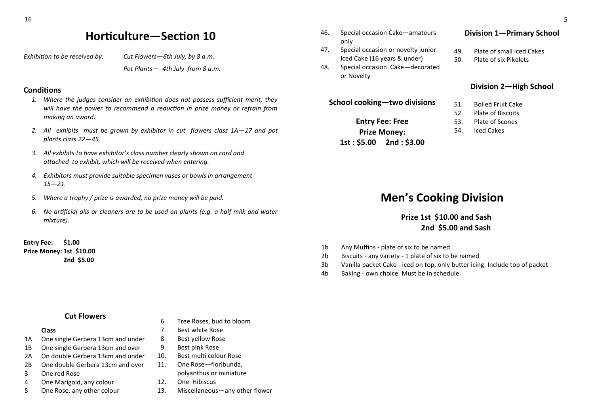## **Horticulture—Section 10**

*Exhibition to be received by: Cut Flowers—6th July, by 8 a.m.*

*Pot Plants—- 4th July from 8 a.m.* 

## **Conditions**

- *1. Where the judges consider an exhibition does not possess sufficient merit, they will have the power to recommend a reduction in prize money or refrain from making an award.*
- *2. All exhibits must be grown by exhibitor in cut flowers class 1A—17 and pot plants class 22—45.*
- *3. All exhibits to have exhibitor's class number clearly shown on card and attached to exhibit, which will be received when entering.*
- *4. Exhibitors must provide suitable specimen vases or bowls in arrangement 15—21.*
- *5. Where a trophy / prize is awarded, no prize money will be paid.*
- *6. No artificial oils or cleaners are to be used on plants (e.g. a half milk and water mixture).*

**Entry Fee: \$1.00 Prize Money: 1st \$10.00 2nd \$5.00**

## **Cut Flowers**

### **Class**

- 1A One single Gerbera 13cm and under
- 1B One single Gerbera 13cm and over
- 2A On double Gerbera 13cm and under
- 2B One double Gerbera 13cm and over
- 3 One red Rose
- 4 One Marigold, any colour
- 5 One Rose, any other colour
- 6. Tree Roses, bud to bloom
- 7. Best white Rose
- 8. Best yellow Rose
- 9. Best pink Rose
- 10. Best multi colour Rose
- 11. One Rose—floribunda, polyanthus or miniature
- 12. One Hibiscus
- 13. Miscellaneous—any other flower
- 46. Special occasion Cake—amateurs only
- 47. Special occasion or novelty junior Iced Cake (16 years & under)
- 48. Special occasion Cake—decorated or Novelty

**School cooking—two divisions**

**Entry Fee: Free Prize Money: 1st : \$5.00 2nd : \$3.00**

- **Division 1—Primary School**
- 49. Plate of small Iced Cakes
- 50. Plate of six Pikelets

## **Division 2—High School**

- 51. Boiled Fruit Cake
- 52. Plate of Biscuits
- 53. Plate of Scones
- 54. Iced Cakes

## **Men's Cooking Division**

## **Prize 1st \$10.00 and Sash 2nd \$5.00 and Sash**

- 1b Any Muffins plate of six to be named
- 2b Biscuits any variety 1 plate of six to be named
- 3b Vanilla packet Cake iced on top, only butter icing. Include top of packet
- 4b Baking own choice. Must be in schedule.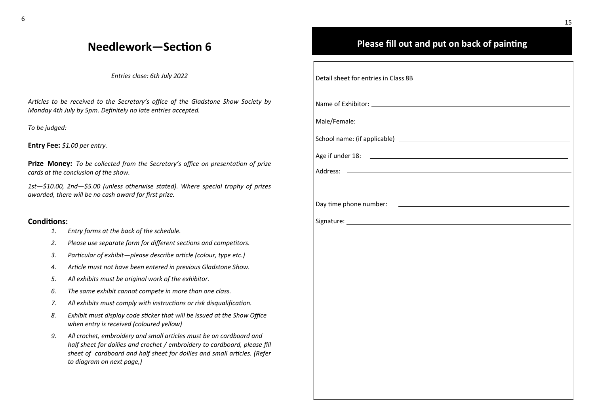## **Needlework—Section 6**

*Entries close: 6th July 2022*

*Articles to be received to the Secretary's office of the Gladstone Show Society by Monday 4th July by 5pm. Definitely no late entries accepted.*

*To be judged:*

**Entry Fee:** *\$1.00 per entry.*

**Prize Money:** *To be collected from the Secretary's office on presentation of prize cards at the conclusion of the show.*

*1st—\$10.00, 2nd—\$5.00 (unless otherwise stated). Where special trophy of prizes awarded, there will be no cash award for first prize.*

### **Conditions:**

- *1. Entry forms at the back of the schedule.*
- *2. Please use separate form for different sections and competitors.*
- *3. Particular of exhibit—please describe article (colour, type etc.)*
- *4. Article must not have been entered in previous Gladstone Show.*
- *5. All exhibits must be original work of the exhibitor.*
- *6. The same exhibit cannot compete in more than one class.*
- *7. All exhibits must comply with instructions or risk disqualification.*
- *8. Exhibit must display code sticker that will be issued at the Show Office when entry is received (coloured yellow)*
- *9. All crochet, embroidery and small articles must be on cardboard and half sheet for doilies and crochet / embroidery to cardboard, please fill sheet of cardboard and half sheet for doilies and small articles. (Refer to diagram on next page,)*

## **Please fill out and put on back of painting**

| Detail sheet for entries in Class 8B                                                     |
|------------------------------------------------------------------------------------------|
|                                                                                          |
|                                                                                          |
|                                                                                          |
|                                                                                          |
| <u> 1989 - Johann Barn, amerikansk politiker (</u> † 1908)<br>Address:                   |
|                                                                                          |
| Day time phone number:<br><u> 1980 - Antonio Alemania, politikar politikar (h. 1980)</u> |
|                                                                                          |
|                                                                                          |
|                                                                                          |
|                                                                                          |
|                                                                                          |
|                                                                                          |
|                                                                                          |
|                                                                                          |
|                                                                                          |
|                                                                                          |
|                                                                                          |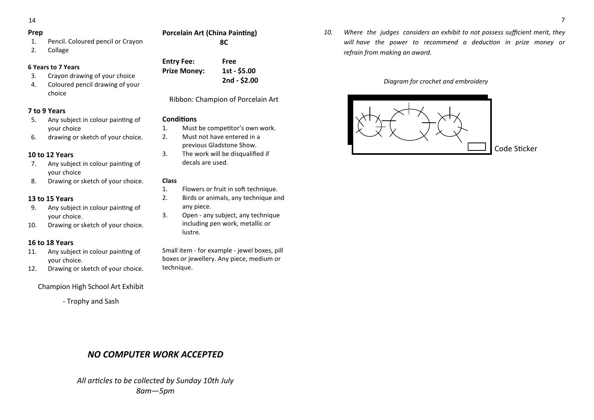14

## **Prep**

1. Pencil. Coloured pencil or Crayon

## 2. Collage

## **6 Years to 7 Years**

- 3. Crayon drawing of your choice
- 4. Coloured pencil drawing of your choice

## **7 to 9 Years**

- 5. Any subject in colour painting of your choice
- 6. drawing or sketch of your choice.

## **10 to 12 Years**

- 7. Any subject in colour painting of your choice
- 8. Drawing or sketch of your choice.

## **13 to 15 Years**

- 9. Any subject in colour painting of your choice.
- 10. Drawing or sketch of your choice.

## **16 to 18 Years**

- 11. Any subject in colour painting of your choice.
- 12. Drawing or sketch of your choice.

Champion High School Art Exhibit

- Trophy and Sash

| <b>Porcelain Art (China Painting)</b> |
|---------------------------------------|
| 8C                                    |

**Entry Fee: Free**

Ribbon: Champion of Porcelain Art

## **Conditions**

- 1. Must be competitor's own work.
- 2. Must not have entered in a previous Gladstone Show.
- 3. The work will be disqualified if decals are used.

#### **Class**

- 1. Flowers or fruit in soft technique.
- 2. Birds or animals, any technique and any piece.
- 3. Open any subject, any technique including pen work, metallic or lustre.

Small item - for example - jewel boxes, pill boxes or jewellery. Any piece, medium or technique.

*10. Where the judges considers an exhibit to not possess sufficient merit, they will have the power to recommend a deduction in prize money or refrain from making an award.*

## *Diagram for crochet and embroidery*



## *NO COMPUTER WORK ACCEPTED*

*All articles to be collected by Sunday 10th July 8am—5pm*

**Prize Money: 1st - \$5.00**

**2nd - \$2.00**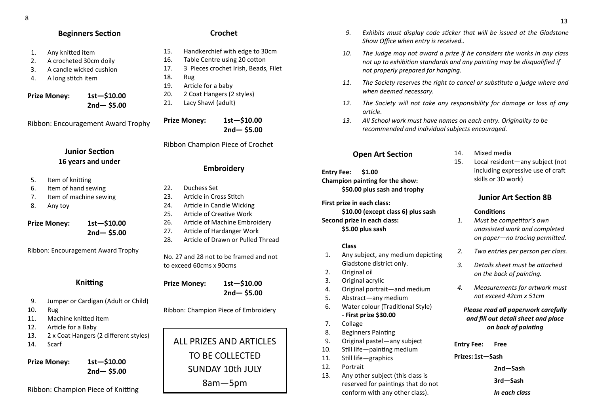## **Beginners Section**

- 1. Any knitted item
- 2. A crocheted 30cm doily
- 3. A candle wicked cushion
- 4. A long stitch item

**Prize Money: 1st—\$10.00 2nd— \$5.00**

Ribbon: Encouragement Award Trophy

## **Junior Section 16 years and under**

- 5. Item of knitting
- 6. Item of hand sewing
- 7. Item of machine sewing
- 8. Any toy

## **Prize Money: 1st—\$10.00 2nd— \$5.00**

Ribbon: Encouragement Award Trophy

## **Knitting**

- 9. Jumper or Cardigan (Adult or Child)
- 10. Rug
- 11. Machine knitted item
- 12. Article for a Baby
- 13. 2 x Coat Hangers (2 different styles)

**2nd— \$5.00**

14. Scarf

**Prize Money: 1st—\$10.00**

Ribbon: Champion Piece of Knitting

## **Crochet**

- 15. Handkerchief with edge to 30cm
- 16. Table Centre using 20 cotton
- 17. 3 Pieces crochet Irish, Beads, Filet
- 18. Rug
- 19. Article for a baby 20. 2 Coat Hangers (2 styles)
- 
- 21. Lacy Shawl (adult)

**Prize Money: 1st—\$10.00 2nd— \$5.00**

Ribbon Champion Piece of Crochet

## **Embroidery**

- 22. Duchess Set
- 23. Article in Cross Stitch
- 24. Article in Candle Wicking
- 25. Article of Creative Work
- 26. Article of Machine Embroidery
- 27. Article of Hardanger Work
- 28. Article of Drawn or Pulled Thread

No. 27 and 28 not to be framed and not to exceed 60cms x 90cms

**Prize Money: 1st—\$10.00 2nd— \$5.00**

Ribbon: Champion Piece of Embroidery

## ALL PRIZES AND ARTICLES TO BE COLLECTED SUNDAY 10th JULY 8am—5pm

- *9. Exhibits must display code sticker that will be issued at the Gladstone Show Office when entry is received..*
- *10. The Judge may not award a prize if he considers the works in any class not up to exhibition standards and any painting may be disqualified if not properly prepared for hanging.*
- *11. The Society reserves the right to cancel or substitute a judge where and when deemed necessary.*
- *12. The Society will not take any responsibility for damage or loss of any article.*
- *13. All School work must have names on each entry. Originality to be recommended and individual subjects encouraged.*

## **Open Art Section**

### **Entry Fee: \$1.00 Champion painting for the show: \$50.00 plus sash and trophy**

**First prize in each class: \$10.00 (except class 6) plus sash Second prize in each class:**

**\$5.00 plus sash**

#### **Class**

- 1. Any subject, any medium depicting Gladstone district only.
- 2. Original oil
- 3. Original acrylic
- 4. Original portrait—and medium
- 5. Abstract—any medium
- 6. Water colour (Traditional Style) - **First prize \$30.00**
- 7. Collage
- 8. Beginners Painting
- 9. Original pastel—any subject
- 10. Still life—painting medium
- 11. Still life—graphics
- 12. Portrait
- 13. Any other subject (this class is reserved for paintings that do not conform with any other class).

#### 14. Mixed media

15. Local resident—any subject (not including expressive use of craft skills or 3D work)

## **Junior Art Section 8B**

### **Conditions**

- *1. Must be competitor's own unassisted work and completed on paper—no tracing permitted.*
- *2. Two entries per person per class.*
- *3. Details sheet must be attached on the back of painting.*
- *4. Measurements for artwork must not exceed 42cm x 51cm*

## *Please read all paperwork carefully and fill out detail sheet and place on back of painting*

**Entry Fee: Free Prizes: 1st—Sash 2nd—Sash 3rd—Sash** *In each class*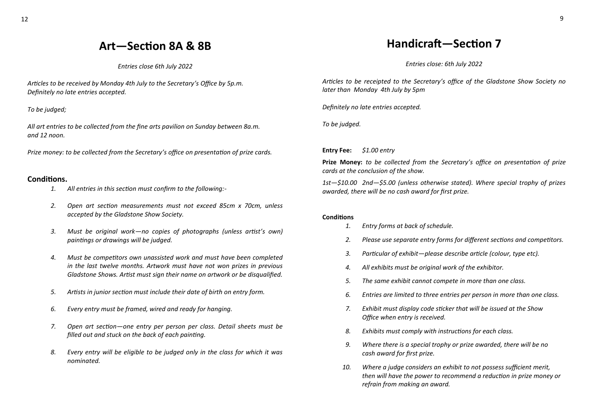## **Art—Section 8A & 8B**

*Entries close 6th July 2022*

*Articles to be received by Monday 4th July to the Secretary's Office by 5p.m. Definitely no late entries accepted.*

*To be judged;* 

*All art entries to be collected from the fine arts pavilion on Sunday between 8a.m. and 12 noon.*

*Prize money: to be collected from the Secretary's office on presentation of prize cards.*

### **Conditions.**

- *1. All entries in this section must confirm to the following:-*
- *2. Open art section measurements must not exceed 85cm x 70cm, unless accepted by the Gladstone Show Society.*
- *3. Must be original work—no copies of photographs (unless artist's own) paintings or drawings will be judged.*
- *4. Must be competitors own unassisted work and must have been completed in the last twelve months. Artwork must have not won prizes in previous Gladstone Shows. Artist must sign their name on artwork or be disqualified.*
- *5. Artists in junior section must include their date of birth on entry form.*
- *6. Every entry must be framed, wired and ready for hanging.*
- *7. Open art section—one entry per person per class. Detail sheets must be filled out and stuck on the back of each painting.*
- *8. Every entry will be eligible to be judged only in the class for which it was nominated.*

## **Handicraft—Section 7**

*Entries close: 6th July 2022*

*Articles to be receipted to the Secretary's office of the Gladstone Show Society no later than Monday 4th July by 5pm*

*Definitely no late entries accepted.*

*To be judged.*

**Entry Fee:** *\$1.00 entry*

**Prize Money:** *to be collected from the Secretary's office on presentation of prize cards at the conclusion of the show.*

*1st—\$10.00 2nd—\$5.00 (unless otherwise stated). Where special trophy of prizes awarded, there will be no cash award for first prize.*

#### **Conditions**

- *1. Entry forms at back of schedule.*
- *2. Please use separate entry forms for different sections and competitors.*
- *3. Particular of exhibit—please describe article (colour, type etc).*
- *4. All exhibits must be original work of the exhibitor.*
- *5. The same exhibit cannot compete in more than one class.*
- *6. Entries are limited to three entries per person in more than one class.*
- *7. Exhibit must display code sticker that will be issued at the Show Office when entry is received.*
- *8. Exhibits must comply with instructions for each class.*
- *9. Where there is a special trophy or prize awarded, there will be no cash award for first prize.*
- *10. Where a judge considers an exhibit to not possess sufficient merit, then will have the power to recommend a reduction in prize money or refrain from making an award.*